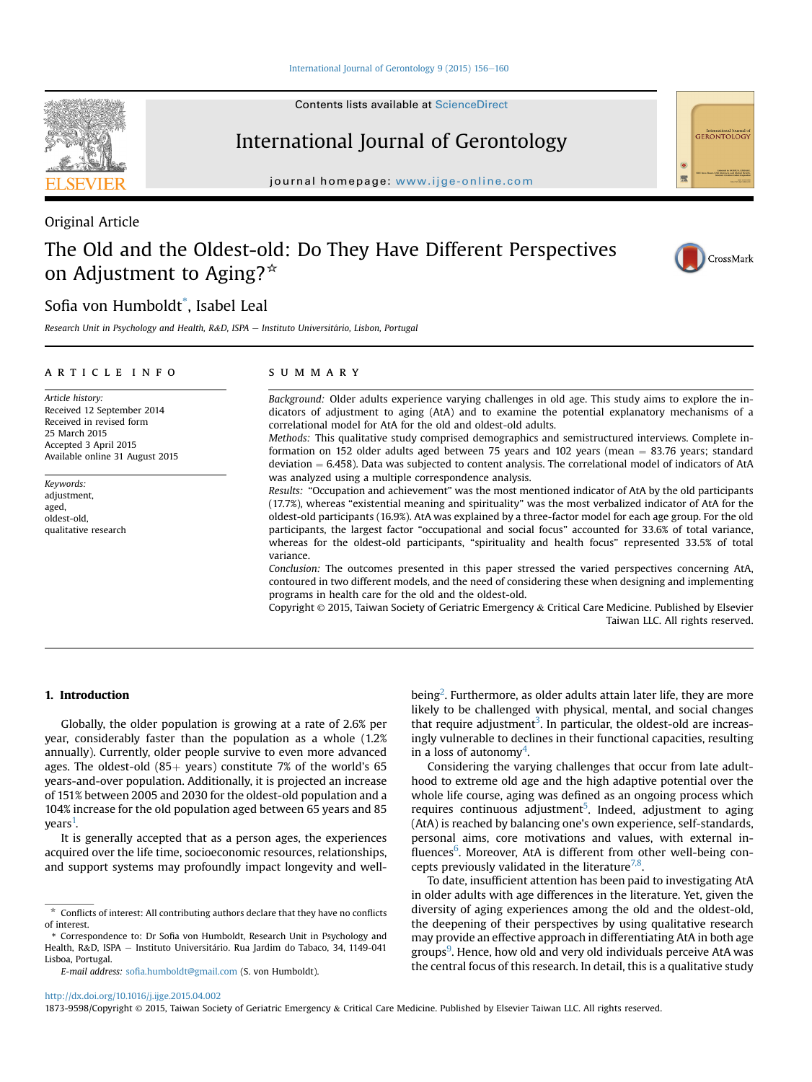Contents lists available at ScienceDirect

# International Journal of Gerontology

journal homepage: [www.ijge-online.com](http://www.ijge-online.com)

Original Article

# The Old and the Oldest-old: Do They Have Different Perspectives on Adjustment to Aging? $*$

# Sofia von Humboldt\* , Isabel Leal

Research Unit in Psychology and Health, R&D, ISPA - Instituto Universitário, Lisbon, Portugal

# article info

Article history: Received 12 September 2014 Received in revised form 25 March 2015 Accepted 3 April 2015 Available online 31 August 2015

Keywords: adjustment, aged, oldest-old, qualitative research

# summary

Background: Older adults experience varying challenges in old age. This study aims to explore the indicators of adjustment to aging (AtA) and to examine the potential explanatory mechanisms of a correlational model for AtA for the old and oldest-old adults.

Methods: This qualitative study comprised demographics and semistructured interviews. Complete information on 152 older adults aged between 75 years and 102 years (mean  $= 83.76$  years; standard deviation  $= 6.458$ ). Data was subjected to content analysis. The correlational model of indicators of AtA was analyzed using a multiple correspondence analysis.

Results: "Occupation and achievement" was the most mentioned indicator of AtA by the old participants (17.7%), whereas "existential meaning and spirituality" was the most verbalized indicator of AtA for the oldest-old participants (16.9%). AtA was explained by a three-factor model for each age group. For the old participants, the largest factor "occupational and social focus" accounted for 33.6% of total variance, whereas for the oldest-old participants, "spirituality and health focus" represented 33.5% of total variance.

Conclusion: The outcomes presented in this paper stressed the varied perspectives concerning AtA, contoured in two different models, and the need of considering these when designing and implementing programs in health care for the old and the oldest-old.

Copyright © 2015, Taiwan Society of Geriatric Emergency & Critical Care Medicine. Published by Elsevier Taiwan LLC. All rights reserved.

# 1. Introduction

Globally, the older population is growing at a rate of 2.6% per year, considerably faster than the population as a whole (1.2% annually). Currently, older people survive to even more advanced ages. The oldest-old  $(85+)$  years) constitute 7% of the world's 65 years-and-over population. Additionally, it is projected an increase of 151% between 2005 and 2030 for the oldest-old population and a 104% increase for the old population aged between 65 years and 85 years $^{\rm 1}$  $^{\rm 1}$  $^{\rm 1}$ .

It is generally accepted that as a person ages, the experiences acquired over the life time, socioeconomic resources, relationships, and support systems may profoundly impact longevity and well-

E-mail address: sofi[a.humboldt@gmail.com](mailto:sofia.humboldt@gmail.com) (S. von Humboldt).

being<sup>[2](#page-4-0)</sup>. Furthermore, as older adults attain later life, they are more likely to be challenged with physical, mental, and social changes that require adjustment<sup>[3](#page-4-0)</sup>. In particular, the oldest-old are increasingly vulnerable to declines in their functional capacities, resulting in a loss of autonomy $^4$ .

Considering the varying challenges that occur from late adulthood to extreme old age and the high adaptive potential over the whole life course, aging was defined as an ongoing process which requires continuous adjustment<sup>[5](#page-4-0)</sup>. Indeed, adjustment to aging (AtA) is reached by balancing one's own experience, self-standards, personal aims, core motivations and values, with external in-fluences<sup>[6](#page-4-0)</sup>. Moreover, AtA is different from other well-being concepts previously validated in the literature<sup>7,8</sup>.

To date, insufficient attention has been paid to investigating AtA in older adults with age differences in the literature. Yet, given the diversity of aging experiences among the old and the oldest-old, the deepening of their perspectives by using qualitative research may provide an effective approach in differentiating AtA in both age groups<sup>[9](#page-4-0)</sup>. Hence, how old and very old individuals perceive AtA was the central focus of this research. In detail, this is a qualitative study

<http://dx.doi.org/10.1016/j.ijge.2015.04.002>





CrossMark

 $*$  Conflicts of interest: All contributing authors declare that they have no conflicts of interest.

<sup>\*</sup> Correspondence to: Dr Sofia von Humboldt, Research Unit in Psychology and Health, R&D, ISPA - Instituto Universitário. Rua Jardim do Tabaco, 34, 1149-041 Lisboa, Portugal.

<sup>1873-9598/</sup>Copyright © 2015, Taiwan Society of Geriatric Emergency & Critical Care Medicine. Published by Elsevier Taiwan LLC. All rights reserved.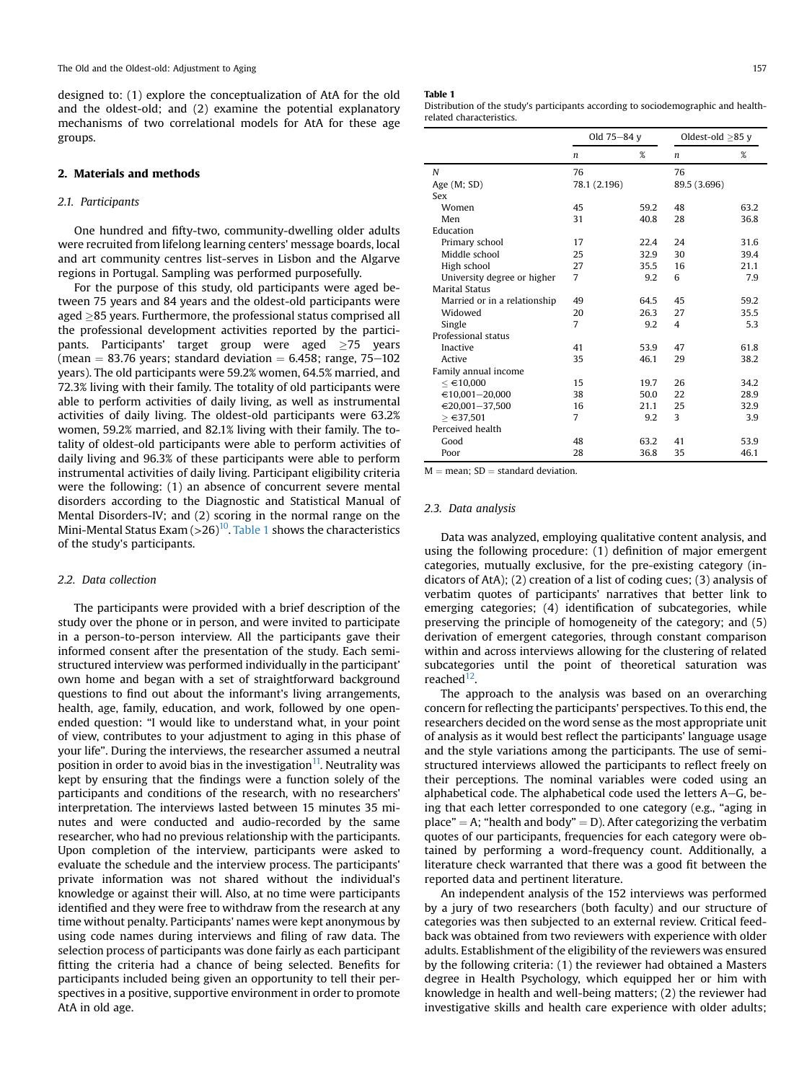designed to: (1) explore the conceptualization of AtA for the old and the oldest-old; and (2) examine the potential explanatory mechanisms of two correlational models for AtA for these age groups.

# 2. Materials and methods

# 2.1. Participants

One hundred and fifty-two, community-dwelling older adults were recruited from lifelong learning centers' message boards, local and art community centres list-serves in Lisbon and the Algarve regions in Portugal. Sampling was performed purposefully.

For the purpose of this study, old participants were aged between 75 years and 84 years and the oldest-old participants were aged  $\geq$ 85 years. Furthermore, the professional status comprised all the professional development activities reported by the partici $p$ ants. Participants' target group were aged  $\geq$ 75 years (mean  $= 83.76$  years; standard deviation  $= 6.458$ ; range, 75-102 years). The old participants were 59.2% women, 64.5% married, and 72.3% living with their family. The totality of old participants were able to perform activities of daily living, as well as instrumental activities of daily living. The oldest-old participants were 63.2% women, 59.2% married, and 82.1% living with their family. The totality of oldest-old participants were able to perform activities of daily living and 96.3% of these participants were able to perform instrumental activities of daily living. Participant eligibility criteria were the following: (1) an absence of concurrent severe mental disorders according to the Diagnostic and Statistical Manual of Mental Disorders-IV; and (2) scoring in the normal range on the Mini-Mental Status Exam  $(>26)^{10}$ . Table 1 shows the characteristics of the study's participants.

#### 2.2. Data collection

The participants were provided with a brief description of the study over the phone or in person, and were invited to participate in a person-to-person interview. All the participants gave their informed consent after the presentation of the study. Each semistructured interview was performed individually in the participant' own home and began with a set of straightforward background questions to find out about the informant's living arrangements, health, age, family, education, and work, followed by one openended question: "I would like to understand what, in your point of view, contributes to your adjustment to aging in this phase of your life". During the interviews, the researcher assumed a neutral position in order to avoid bias in the investigation $11$ . Neutrality was kept by ensuring that the findings were a function solely of the participants and conditions of the research, with no researchers' interpretation. The interviews lasted between 15 minutes 35 minutes and were conducted and audio-recorded by the same researcher, who had no previous relationship with the participants. Upon completion of the interview, participants were asked to evaluate the schedule and the interview process. The participants' private information was not shared without the individual's knowledge or against their will. Also, at no time were participants identified and they were free to withdraw from the research at any time without penalty. Participants' names were kept anonymous by using code names during interviews and filing of raw data. The selection process of participants was done fairly as each participant fitting the criteria had a chance of being selected. Benefits for participants included being given an opportunity to tell their perspectives in a positive, supportive environment in order to promote AtA in old age.

#### Table 1

Distribution of the study's participants according to sociodemographic and healthrelated characteristics.

|                              | Old 75-84 y    |      | Oldest-old $\geq$ 85 y |      |
|------------------------------|----------------|------|------------------------|------|
|                              | n              | %    | n                      | %    |
| N                            | 76             |      | 76                     |      |
| Age (M; SD)                  | 78.1 (2.196)   |      | 89.5 (3.696)           |      |
| Sex                          |                |      |                        |      |
| Women                        | 45             | 59.2 | 48                     | 63.2 |
| Men                          | 31             | 40.8 | 28                     | 36.8 |
| Education                    |                |      |                        |      |
| Primary school               | 17             | 22.4 | 24                     | 31.6 |
| Middle school                | 25             | 32.9 | 30                     | 39.4 |
| High school                  | 27             | 35.5 | 16                     | 21.1 |
| University degree or higher  | $\overline{7}$ | 9.2  | 6                      | 7.9  |
| <b>Marital Status</b>        |                |      |                        |      |
| Married or in a relationship | 49             | 64.5 | 45                     | 59.2 |
| Widowed                      | 20             | 26.3 | 27                     | 35.5 |
| Single                       | 7              | 9.2  | $\overline{4}$         | 5.3  |
| Professional status          |                |      |                        |      |
| Inactive                     | 41             | 53.9 | 47                     | 61.8 |
| Active                       | 35             | 46.1 | 29                     | 38.2 |
| Family annual income         |                |      |                        |      |
| ≤ €10,000                    | 15             | 19.7 | 26                     | 34.2 |
| $€10,001 - 20,000$           | 38             | 50.0 | 22                     | 28.9 |
| $€20,001-37,500$             | 16             | 21.1 | 25                     | 32.9 |
| ≥ €37,501                    | 7              | 9.2  | 3                      | 3.9  |
| Perceived health             |                |      |                        |      |
| Good                         | 48             | 63.2 | 41                     | 53.9 |
| Poor                         | 28             | 36.8 | 35                     | 46.1 |

 $M =$  mean;  $SD =$  standard deviation.

# 2.3. Data analysis

Data was analyzed, employing qualitative content analysis, and using the following procedure: (1) definition of major emergent categories, mutually exclusive, for the pre-existing category (indicators of AtA); (2) creation of a list of coding cues; (3) analysis of verbatim quotes of participants' narratives that better link to emerging categories; (4) identification of subcategories, while preserving the principle of homogeneity of the category; and (5) derivation of emergent categories, through constant comparison within and across interviews allowing for the clustering of related subcategories until the point of theoretical saturation was reached<sup>12</sup>.

The approach to the analysis was based on an overarching concern for reflecting the participants' perspectives. To this end, the researchers decided on the word sense as the most appropriate unit of analysis as it would best reflect the participants' language usage and the style variations among the participants. The use of semistructured interviews allowed the participants to reflect freely on their perceptions. The nominal variables were coded using an alphabetical code. The alphabetical code used the letters  $A-G$ , being that each letter corresponded to one category (e.g., "aging in place" = A; "health and body" = D). After categorizing the verbatim quotes of our participants, frequencies for each category were obtained by performing a word-frequency count. Additionally, a literature check warranted that there was a good fit between the reported data and pertinent literature.

An independent analysis of the 152 interviews was performed by a jury of two researchers (both faculty) and our structure of categories was then subjected to an external review. Critical feedback was obtained from two reviewers with experience with older adults. Establishment of the eligibility of the reviewers was ensured by the following criteria: (1) the reviewer had obtained a Masters degree in Health Psychology, which equipped her or him with knowledge in health and well-being matters; (2) the reviewer had investigative skills and health care experience with older adults;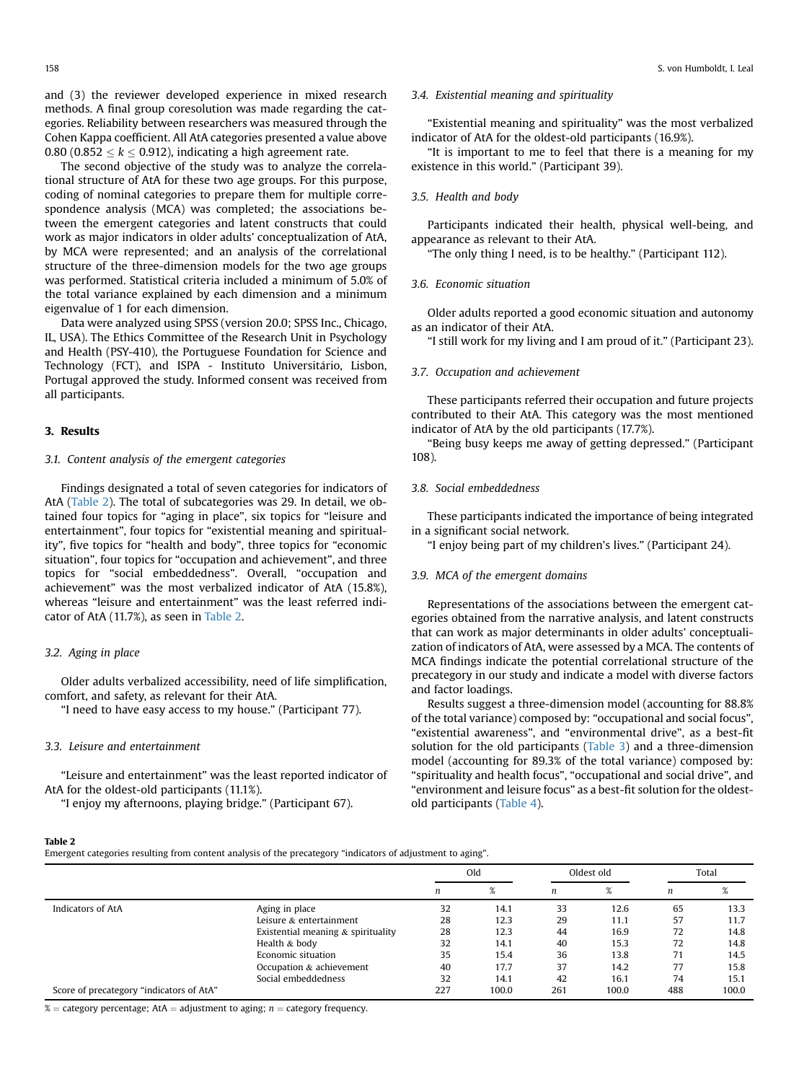and (3) the reviewer developed experience in mixed research methods. A final group coresolution was made regarding the categories. Reliability between researchers was measured through the Cohen Kappa coefficient. All AtA categories presented a value above 0.80 (0.852  $k$  < 0.912), indicating a high agreement rate.

The second objective of the study was to analyze the correlational structure of AtA for these two age groups. For this purpose, coding of nominal categories to prepare them for multiple correspondence analysis (MCA) was completed; the associations between the emergent categories and latent constructs that could work as major indicators in older adults' conceptualization of AtA, by MCA were represented; and an analysis of the correlational structure of the three-dimension models for the two age groups was performed. Statistical criteria included a minimum of 5.0% of the total variance explained by each dimension and a minimum eigenvalue of 1 for each dimension.

Data were analyzed using SPSS (version 20.0; SPSS Inc., Chicago, IL, USA). The Ethics Committee of the Research Unit in Psychology and Health (PSY-410), the Portuguese Foundation for Science and Technology (FCT), and ISPA - Instituto Universit ario, Lisbon, Portugal approved the study. Informed consent was received from all participants.

# 3. Results

# 3.1. Content analysis of the emergent categories

Findings designated a total of seven categories for indicators of AtA (Table 2). The total of subcategories was 29. In detail, we obtained four topics for "aging in place", six topics for "leisure and entertainment", four topics for "existential meaning and spirituality", five topics for "health and body", three topics for "economic situation", four topics for "occupation and achievement", and three topics for "social embeddedness". Overall, "occupation and achievement" was the most verbalized indicator of AtA (15.8%), whereas "leisure and entertainment" was the least referred indicator of AtA (11.7%), as seen in Table 2.

# 3.2. Aging in place

Older adults verbalized accessibility, need of life simplification, comfort, and safety, as relevant for their AtA.

"I need to have easy access to my house." (Participant 77).

# 3.3. Leisure and entertainment

"Leisure and entertainment" was the least reported indicator of AtA for the oldest-old participants (11.1%).

"I enjoy my afternoons, playing bridge." (Participant 67).

#### 3.4. Existential meaning and spirituality

"Existential meaning and spirituality" was the most verbalized indicator of AtA for the oldest-old participants (16.9%).

"It is important to me to feel that there is a meaning for my existence in this world." (Participant 39).

# 3.5. Health and body

Participants indicated their health, physical well-being, and appearance as relevant to their AtA.

"The only thing I need, is to be healthy." (Participant 112).

# 3.6. Economic situation

Older adults reported a good economic situation and autonomy as an indicator of their AtA.

"I still work for my living and I am proud of it." (Participant 23).

## 3.7. Occupation and achievement

These participants referred their occupation and future projects contributed to their AtA. This category was the most mentioned indicator of AtA by the old participants (17.7%).

"Being busy keeps me away of getting depressed." (Participant 108).

# 3.8. Social embeddedness

These participants indicated the importance of being integrated in a significant social network.

"I enjoy being part of my children's lives." (Participant 24).

# 3.9. MCA of the emergent domains

Representations of the associations between the emergent categories obtained from the narrative analysis, and latent constructs that can work as major determinants in older adults' conceptualization of indicators of AtA, were assessed by a MCA. The contents of MCA findings indicate the potential correlational structure of the precategory in our study and indicate a model with diverse factors and factor loadings.

Results suggest a three-dimension model (accounting for 88.8% of the total variance) composed by: "occupational and social focus", "existential awareness", and "environmental drive", as a best-fit solution for the old participants [\(Table 3\)](#page-3-0) and a three-dimension model (accounting for 89.3% of the total variance) composed by: "spirituality and health focus", "occupational and social drive", and "environment and leisure focus" as a best-fit solution for the oldestold participants ([Table 4\)](#page-3-0).

# Table 2

Emergent categories resulting from content analysis of the precategory "indicators of adjustment to aging".

|                                          |                                    | Old |       | Oldest old |       | Total |       |
|------------------------------------------|------------------------------------|-----|-------|------------|-------|-------|-------|
|                                          |                                    | n   | %     | n          | $\%$  | n     | %     |
| Indicators of AtA                        | Aging in place                     | 32  | 14.1  | 33         | 12.6  | 65    | 13.3  |
|                                          | Leisure & entertainment            | 28  | 12.3  | 29         | 11.1  | 57    | 11.7  |
|                                          | Existential meaning & spirituality | 28  | 12.3  | 44         | 16.9  | 72    | 14.8  |
|                                          | Health & body                      | 32  | 14.1  | 40         | 15.3  | 72    | 14.8  |
|                                          | Economic situation                 | 35  | 15.4  | 36         | 13.8  | 71    | 14.5  |
|                                          | Occupation & achievement           | 40  | 17.7  | 37         | 14.2  | 77    | 15.8  |
|                                          | Social embeddedness                | 32  | 14.1  | 42         | 16.1  | 74    | 15.1  |
| Score of precategory "indicators of AtA" |                                    | 227 | 100.0 | 261        | 100.0 | 488   | 100.0 |

% = category percentage; AtA = adjustment to aging;  $n$  = category frequency.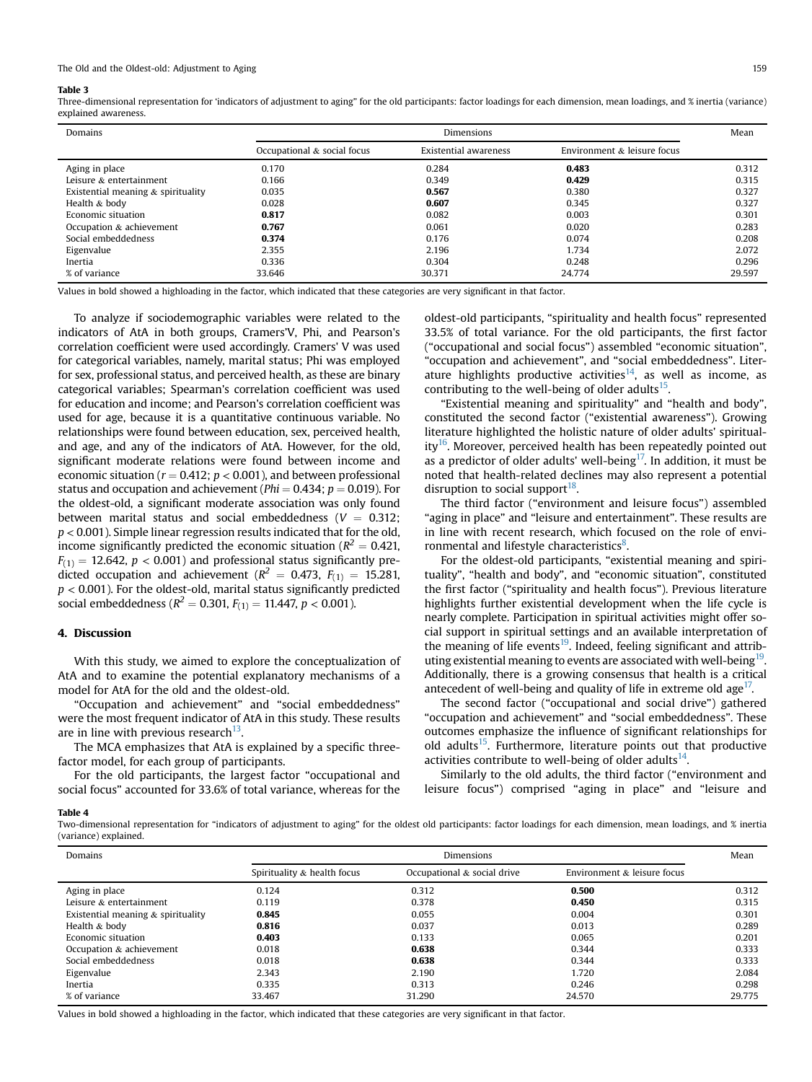### <span id="page-3-0"></span>Table 3

Three-dimensional representation for 'indicators of adjustment to aging" for the old participants: factor loadings for each dimension, mean loadings, and % inertia (variance) explained awareness.

| Domains                            | Dimensions                  |                              |                             | Mean   |
|------------------------------------|-----------------------------|------------------------------|-----------------------------|--------|
|                                    | Occupational & social focus | <b>Existential awareness</b> | Environment & leisure focus |        |
| Aging in place                     | 0.170                       | 0.284                        | 0.483                       | 0.312  |
| Leisure & entertainment            | 0.166                       | 0.349                        | 0.429                       | 0.315  |
| Existential meaning & spirituality | 0.035                       | 0.567                        | 0.380                       | 0.327  |
| Health & body                      | 0.028                       | 0.607                        | 0.345                       | 0.327  |
| Economic situation                 | 0.817                       | 0.082                        | 0.003                       | 0.301  |
| Occupation & achievement           | 0.767                       | 0.061                        | 0.020                       | 0.283  |
| Social embeddedness                | 0.374                       | 0.176                        | 0.074                       | 0.208  |
| Eigenvalue                         | 2.355                       | 2.196                        | 1.734                       | 2.072  |
| Inertia                            | 0.336                       | 0.304                        | 0.248                       | 0.296  |
| % of variance                      | 33.646                      | 30.371                       | 24.774                      | 29.597 |

Values in bold showed a highloading in the factor, which indicated that these categories are very significant in that factor.

To analyze if sociodemographic variables were related to the indicators of AtA in both groups, Cramers'V, Phi, and Pearson's correlation coefficient were used accordingly. Cramers' V was used for categorical variables, namely, marital status; Phi was employed for sex, professional status, and perceived health, as these are binary categorical variables; Spearman's correlation coefficient was used for education and income; and Pearson's correlation coefficient was used for age, because it is a quantitative continuous variable. No relationships were found between education, sex, perceived health, and age, and any of the indicators of AtA. However, for the old, significant moderate relations were found between income and economic situation ( $r = 0.412$ ;  $p < 0.001$ ), and between professional status and occupation and achievement ( $Phi = 0.434$ ;  $p = 0.019$ ). For the oldest-old, a significant moderate association was only found between marital status and social embeddedness ( $V = 0.312$ ;  $p < 0.001$ ). Simple linear regression results indicated that for the old, income significantly predicted the economic situation ( $R^2 = 0.421$ ,  $F(1) = 12.642$ ,  $p < 0.001$ ) and professional status significantly predicted occupation and achievement ( $R^2 = 0.473$ ,  $F_{(1)} = 15.281$ ,  $p < 0.001$ ). For the oldest-old, marital status significantly predicted social embeddedness ( $R^2 = 0.301$ ,  $F_{(1)} = 11.447$ ,  $p < 0.001$ ).

# 4. Discussion

With this study, we aimed to explore the conceptualization of AtA and to examine the potential explanatory mechanisms of a model for AtA for the old and the oldest-old.

"Occupation and achievement" and "social embeddedness" were the most frequent indicator of AtA in this study. These results are in line with previous research<sup>13</sup>.

The MCA emphasizes that AtA is explained by a specific threefactor model, for each group of participants.

For the old participants, the largest factor "occupational and social focus" accounted for 33.6% of total variance, whereas for the oldest-old participants, "spirituality and health focus" represented 33.5% of total variance. For the old participants, the first factor ("occupational and social focus") assembled "economic situation", "occupation and achievement", and "social embeddedness". Literature highlights productive activities<sup>14</sup>, as well as income, as contributing to the well-being of older adults $^{15}$ .

"Existential meaning and spirituality" and "health and body", constituted the second factor ("existential awareness"). Growing literature highlighted the holistic nature of older adults' spirituality $16$ . Moreover, perceived health has been repeatedly pointed out as a predictor of older adults' well-being<sup>17</sup>. In addition, it must be noted that health-related declines may also represent a potential disruption to social support $^{18}$ .

The third factor ("environment and leisure focus") assembled "aging in place" and "leisure and entertainment". These results are in line with recent research, which focused on the role of envi-ronmental and lifestyle characteristics<sup>[8](#page-4-0)</sup>.

For the oldest-old participants, "existential meaning and spirituality", "health and body", and "economic situation", constituted the first factor ("spirituality and health focus"). Previous literature highlights further existential development when the life cycle is nearly complete. Participation in spiritual activities might offer social support in spiritual settings and an available interpretation of the meaning of life events<sup>[19](#page-4-0)</sup>. Indeed, feeling significant and attributing existential meaning to events are associated with well-being<sup>19</sup>. Additionally, there is a growing consensus that health is a critical antecedent of well-being and quality of life in extreme old age<sup>17</sup>.

The second factor ("occupational and social drive") gathered "occupation and achievement" and "social embeddedness". These outcomes emphasize the influence of significant relationships for old adults $15$ . Furthermore, literature points out that productive activities contribute to well-being of older adults<sup>14</sup>.

Similarly to the old adults, the third factor ("environment and leisure focus") comprised "aging in place" and "leisure and

# Table 4

Two-dimensional representation for "indicators of adjustment to aging" for the oldest old participants: factor loadings for each dimension, mean loadings, and % inertia (variance) explained.

| Domains                            | Dimensions                  |                             |                             | Mean   |
|------------------------------------|-----------------------------|-----------------------------|-----------------------------|--------|
|                                    | Spirituality & health focus | Occupational & social drive | Environment & leisure focus |        |
| Aging in place                     | 0.124                       | 0.312                       | 0.500                       | 0.312  |
| Leisure & entertainment            | 0.119                       | 0.378                       | 0.450                       | 0.315  |
| Existential meaning & spirituality | 0.845                       | 0.055                       | 0.004                       | 0.301  |
| Health & body                      | 0.816                       | 0.037                       | 0.013                       | 0.289  |
| Economic situation                 | 0.403                       | 0.133                       | 0.065                       | 0.201  |
| Occupation & achievement           | 0.018                       | 0.638                       | 0.344                       | 0.333  |
| Social embeddedness                | 0.018                       | 0.638                       | 0.344                       | 0.333  |
| Eigenvalue                         | 2.343                       | 2.190                       | 1.720                       | 2.084  |
| Inertia                            | 0.335                       | 0.313                       | 0.246                       | 0.298  |
| % of variance                      | 33.467                      | 31.290                      | 24.570                      | 29.775 |

Values in bold showed a highloading in the factor, which indicated that these categories are very significant in that factor.